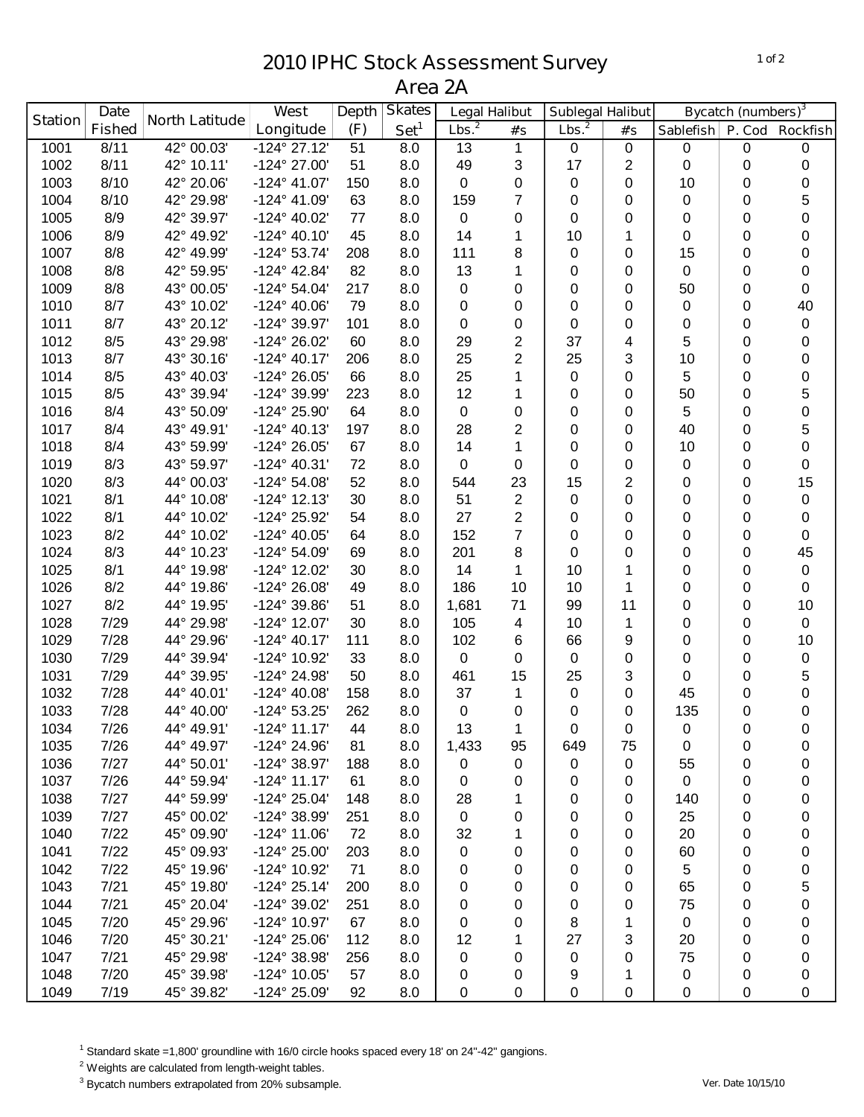## **IPHC Stock Assessment Survey Area 2A**

|                | <b>Date</b>   |                       | <b>West</b>           | <b>Depth</b> | <b>Skates</b>    | <b>Legal Halibut</b> |                | Sublegal Halibut  |                | Bycatch (numbers) <sup>3</sup> |             |                  |
|----------------|---------------|-----------------------|-----------------------|--------------|------------------|----------------------|----------------|-------------------|----------------|--------------------------------|-------------|------------------|
| <b>Station</b> | <b>Fished</b> | <b>North Latitude</b> | Longitude             | (F)          | Set <sup>1</sup> | Lbs. <sup>2</sup>    | #'s            | Lbs. <sup>2</sup> | #'s            | <b>Sablefish</b>               | P. Cod      | <b>Rockfish</b>  |
| 1001           | 8/11          | 42° 00.03'            | $-124^{\circ}$ 27.12' | 51           | 8.0              | 13                   | 1              | 0                 | 0              | $\pmb{0}$                      | 0           | 0                |
| 1002           | 8/11          | 42° 10.11'            | -124° 27.00'          | 51           | 8.0              | 49                   | 3              | 17                | $\overline{2}$ | 0                              | 0           | 0                |
| 1003           | 8/10          | 42° 20.06'            | $-124^{\circ}$ 41.07' | 150          | 8.0              | 0                    | 0              | 0                 | $\mathbf 0$    | 10                             | 0           | 0                |
| 1004           | 8/10          | 42° 29.98'            | -124° 41.09'          | 63           | 8.0              | 159                  | $\overline{7}$ | 0                 | 0              | 0                              | 0           | 5                |
| 1005           | 8/9           | 42° 39.97'            | -124° 40.02'          | 77           | 8.0              | 0                    | 0              | 0                 | 0              | 0                              | 0           | 0                |
| 1006           | 8/9           | 42° 49.92'            | $-124^{\circ}$ 40.10' | 45           | 8.0              | 14                   | 1              | 10                | 1              | 0                              | 0           | 0                |
| 1007           | 8/8           | 42° 49.99'            | -124° 53.74'          | 208          | 8.0              | 111                  | 8              | 0                 | 0              | 15                             | 0           | 0                |
| 1008           | 8/8           | 42° 59.95'            | -124° 42.84'          | 82           | 8.0              | 13                   | 1              | 0                 | 0              | 0                              | 0           | 0                |
| 1009           | 8/8           | 43° 00.05'            | -124° 54.04'          | 217          | 8.0              | 0                    | 0              | 0                 | 0              | 50                             | 0           | 0                |
| 1010           | 8/7           | 43° 10.02'            | -124° 40.06'          | 79           | 8.0              | 0                    | 0              | 0                 | 0              | 0                              | 0           | 40               |
| 1011           | 8/7           | 43° 20.12'            | -124° 39.97'          | 101          | 8.0              | 0                    | 0              | 0                 | 0              | 0                              | 0           | $\boldsymbol{0}$ |
| 1012           | 8/5           | 43° 29.98'            | -124° 26.02'          | 60           | 8.0              | 29                   | $\overline{2}$ | 37                | 4              | 5                              | 0           | 0                |
| 1013           | 8/7           | 43° 30.16'            | $-124^{\circ}$ 40.17' | 206          | 8.0              | 25                   | $\overline{2}$ | 25                | 3              | 10                             | $\mathbf 0$ | 0                |
| 1014           | 8/5           | 43° 40.03'            | -124° 26.05'          | 66           | 8.0              | 25                   | 1              | 0                 | 0              | 5                              | $\mathbf 0$ | 0                |
| 1015           | 8/5           | 43° 39.94'            | -124° 39.99'          | 223          | 8.0              | 12                   | 1              | 0                 | 0              | 50                             | 0           | 5                |
| 1016           | 8/4           | 43° 50.09'            | -124° 25.90'          | 64           | 8.0              | 0                    | 0              | 0                 | 0              | 5                              | 0           | $\pmb{0}$        |
| 1017           | 8/4           | 43° 49.91'            | $-124^{\circ}$ 40.13' | 197          | 8.0              | 28                   | 2              | 0                 | 0              | 40                             | 0           | 5                |
| 1018           | 8/4           | 43° 59.99'            | -124° 26.05'          | 67           | 8.0              | 14                   | 1              | 0                 | 0              | 10                             | 0           | 0                |
| 1019           | 8/3           | 43° 59.97'            | -124° 40.31'          | 72           | 8.0              | 0                    | 0              | 0                 | 0              | 0                              | 0           | 0                |
| 1020           | 8/3           | 44° 00.03'            | -124° 54.08'          | 52           | 8.0              | 544                  | 23             | 15                | $\overline{2}$ | 0                              | 0           | 15               |
| 1021           | 8/1           | 44° 10.08'            | $-124^{\circ}$ 12.13' | 30           | 8.0              | 51                   | $\overline{2}$ | 0                 | 0              | 0                              | 0           | 0                |
| 1022           | 8/1           | 44° 10.02'            | -124° 25.92'          | 54           | 8.0              | 27                   | $\overline{2}$ | 0                 | 0              | 0                              | 0           | 0                |
| 1023           | 8/2           | 44° 10.02'            | $-124^{\circ}$ 40.05' | 64           | 8.0              | 152                  | $\overline{7}$ | 0                 | 0              | 0                              | 0           | 0                |
| 1024           | 8/3           | 44° 10.23'            | -124° 54.09'          | 69           | 8.0              | 201                  | 8              | 0                 | 0              | 0                              | 0           | 45               |
| 1025           | 8/1           | 44° 19.98'            | -124° 12.02'          | 30           | 8.0              | 14                   | 1              | 10                | 1              | 0                              | 0           | 0                |
| 1026           | 8/2           | 44° 19.86'            | -124° 26.08'          | 49           | 8.0              | 186                  | 10             | 10                | 1              | 0                              | $\mathbf 0$ | 0                |
| 1027           | 8/2           | 44° 19.95'            | -124° 39.86'          | 51           | 8.0              | 1,681                | 71             | 99                | 11             | 0                              | 0           | 10               |
| 1028           | 7/29          | 44° 29.98'            | $-124^{\circ}$ 12.07' | 30           | 8.0              | 105                  | 4              | 10                | 1              | 0                              | 0           | $\pmb{0}$        |
| 1029           | 7/28          | 44° 29.96'            | $-124^{\circ}$ 40.17' | 111          | 8.0              | 102                  | 6              | 66                | 9              | 0                              | 0           | 10               |
| 1030           | 7/29          | 44° 39.94'            | -124° 10.92'          | 33           | 8.0              | 0                    | 0              | 0                 | 0              | 0                              | 0           | 0                |
| 1031           | 7/29          | 44° 39.95'            | -124° 24.98'          | 50           | 8.0              | 461                  | 15             | 25                | 3              | 0                              | 0           | 5                |
| 1032           | 7/28          | 44° 40.01'            | -124° 40.08'          | 158          | 8.0              | 37                   | 1              | 0                 | 0              | 45                             | 0           | 0                |
| 1033           | 7/28          | 44° 40.00'            | -124° 53.25'          | 262          | 8.0              | 0                    | 0              | 0                 | 0              | 135                            | 0           | 0                |
| 1034           | 7/26          | 44° 49.91'            | $-124^{\circ}$ 11.17' | 44           | 8.0              | 13                   | 1              | $\Omega$          | $\Omega$       | $\Omega$                       | $\Omega$    | 0                |
| 1035           | 7/26          | 44° 49.97'            | -124° 24.96'          | 81           | 8.0              | 1,433                | 95             | 649               | 75             | 0                              | 0           | 0                |
| 1036           | 7/27          | 44° 50.01'            | $-124^{\circ}$ 38.97' | 188          | 8.0              | 0                    | 0              | 0                 | 0              | 55                             | 0           | 0                |
| 1037           | 7/26          | 44° 59.94'            | $-124^{\circ}$ 11.17' | 61           | 8.0              | 0                    | 0              | 0                 | 0              | 0                              | 0           | 0                |
| 1038           | 7/27          | 44° 59.99'            | $-124^{\circ} 25.04'$ | 148          | 8.0              | 28                   | 1              | 0                 | 0              | 140                            | 0           | 0                |
| 1039           | 7/27          | 45° 00.02'            | -124° 38.99'          | 251          | 8.0              | 0                    | 0              | 0                 | 0              | 25                             | 0           | 0                |
| 1040           | 7/22          | 45° 09.90'            | $-124^{\circ}$ 11.06' | 72           | 8.0              | 32                   | 1              | 0                 | 0              | 20                             | 0           | 0                |
| 1041           | 7/22          | 45° 09.93'            | -124° 25.00'          | 203          | 8.0              | 0                    | 0              | 0                 | 0              | 60                             | 0           | 0                |
| 1042           | 7/22          | 45° 19.96'            | -124° 10.92'          | 71           | 8.0              | 0                    | 0              | 0                 | 0              | 5                              | 0           | 0                |
| 1043           | 7/21          | 45° 19.80'            | $-124^{\circ}$ 25.14' | 200          | 8.0              | 0                    | 0              | 0                 | 0              | 65                             | 0           | 5                |
| 1044           | 7/21          | 45° 20.04'            | -124° 39.02'          | 251          | 8.0              | 0                    | 0              | 0                 | 0              | 75                             | 0           | 0                |
| 1045           | 7/20          | 45° 29.96'            | -124° 10.97'          | 67           | 8.0              | 0                    | 0              | 8                 | 1              | 0                              | 0           | 0                |
| 1046           | 7/20          | 45° 30.21'            | -124° 25.06'          | 112          | 8.0              | 12                   |                | 27                | 3              | 20                             | 0           | 0                |
| 1047           | 7/21          | 45° 29.98'            | -124° 38.98'          | 256          | 8.0              | 0                    | 0              | 0                 | 0              | 75                             | 0           | 0                |
| 1048           | 7/20          | 45° 39.98'            | -124° 10.05'          | 57           | 8.0              | 0                    | 0              | 9                 | 1              | 0                              | 0           | 0                |
| 1049           | 7/19          | 45° 39.82'            | -124° 25.09'          | 92           | 8.0              | 0                    | 0              | 0                 | 0              | 0                              | 0           | 0                |

Standard skate =1,800' groundline with 16/0 circle hooks spaced every 18' on 24"-42" gangions.

<sup>2</sup> Weights are calculated from length-weight tables.

Bycatch numbers extrapolated from 20% subsample. *Ver. Date 10/15/10*